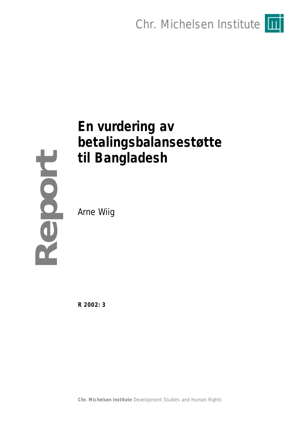Chr. Michelsen Institute

# **En vurdering av betalingsbalansestøtte til Bangladesh**

Arne Wiig

**Report**

**R 2002: 3**

**Chr. Michelsen Institute** *Development Studies and Human Rights*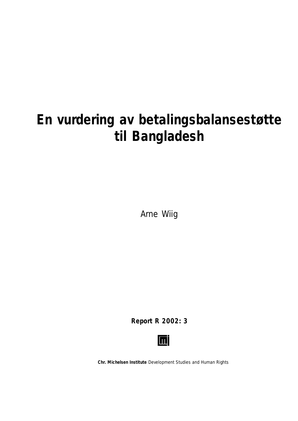# **En vurdering av betalingsbalansestøtte til Bangladesh**

Arne Wiig

**Report R 2002: 3**



**Chr. Michelsen Institute** *Development Studies and Human Rights*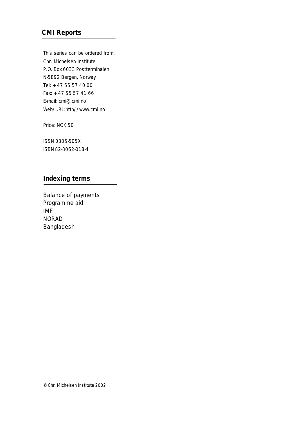## **CMI Reports**

This series can be ordered from: Chr. Michelsen Institute P.O. Box 6033 Postterminalen, N-5892 Bergen, Norway Tel: + 47 55 57 40 00 Fax: + 47 55 57 41 66 E-mail: cmi@.cmi.no Web/URL:http//www.cmi.no

Price: NOK 50

ISSN 0805-505X ISBN 82-8062-018-4

### **Indexing terms**

Balance of payments Programme aid IMF NORAD Bangladesh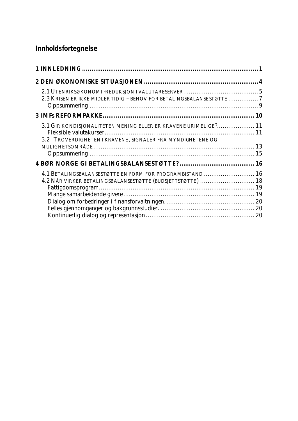# **Innholdsfortegnelse**

| 2.3 KRISEN ER IKKE MIDLER TIDIG - BEHOV FOR BETALINGSBALANSESTØTTE 7 |  |
|----------------------------------------------------------------------|--|
|                                                                      |  |
|                                                                      |  |
| 3.1 GIR KONDISJONALITETEN MENING ELLER ER KRAVENE URIMELIGE? 11      |  |
|                                                                      |  |
| 3.2 TROVERDIGHETEN I KRAVENE, SIGNALER FRA MYNDIGHETENE OG           |  |
|                                                                      |  |
|                                                                      |  |
|                                                                      |  |
| 4.1 BETALINGSBALANSESTØTTE EN FORM FOR PROGRAMBISTAND  16            |  |
| 4.2 NÅR VIRKER BETALINGSBALANSESTØTTE (BUDSJETTSTØTTE)  18           |  |
|                                                                      |  |
|                                                                      |  |
|                                                                      |  |
|                                                                      |  |
|                                                                      |  |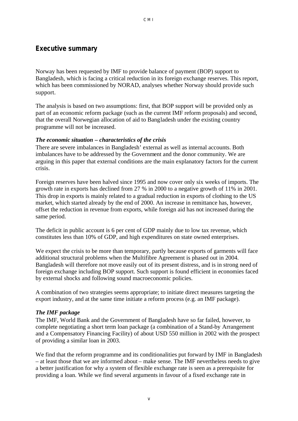#### **Executive summary**

Norway has been requested by IMF to provide balance of payment (BOP) support to Bangladesh, which is facing a critical reduction in its foreign exchange reserves. This report, which has been commissioned by NORAD, analyses whether Norway should provide such support.

The analysis is based on two assumptions: first, that BOP support will be provided only as part of an economic reform package (such as the current IMF reform proposals) and second, that the overall Norwegian allocation of aid to Bangladesh under the existing country programme will not be increased.

#### *The economic situation – characteristics of the crisis*

There are severe imbalances in Bangladesh' external as well as internal accounts. Both imbalances have to be addressed by the Government and the donor community. We are arguing in this paper that external conditions are the main explanatory factors for the current crisis.

Foreign reserves have been halved since 1995 and now cover only six weeks of imports. The growth rate in exports has declined from 27 % in 2000 to a negative growth of 11% in 2001. This drop in exports is mainly related to a gradual reduction in exports of clothing to the US market, which started already by the end of 2000. An increase in remittance has, however, offset the reduction in revenue from exports, while foreign aid has not increased during the same period.

The deficit in public account is 6 per cent of GDP mainly due to low tax revenue, which constitutes less than 10% of GDP, and high expenditures on state owned enterprises.

We expect the crisis to be more than temporary, partly because exports of garments will face additional structural problems when the Multifibre Agreement is phased out in 2004. Bangladesh will therefore not move easily out of its present distress, and is in strong need of foreign exchange including BOP support. Such support is found efficient in economies faced by external shocks and following sound macroeconomic policies.

A combination of two strategies seems appropriate; to initiate direct measures targeting the export industry, and at the same time initiate a reform process (e.g. an IMF package).

#### *The IMF package*

The IMF, World Bank and the Government of Bangladesh have so far failed, however, to complete negotiating a short term loan package (a combination of a Stand-by Arrangement and a Compensatory Financing Facility) of about USD 550 million in 2002 with the prospect of providing a similar loan in 2003.

We find that the reform programme and its conditionalities put forward by IMF in Bangladesh – at least those that we are informed about – make sense. The IMF nevertheless needs to give a better justification for why a system of flexible exchange rate is seen as a prerequisite for providing a loan. While we find several arguments in favour of a fixed exchange rate in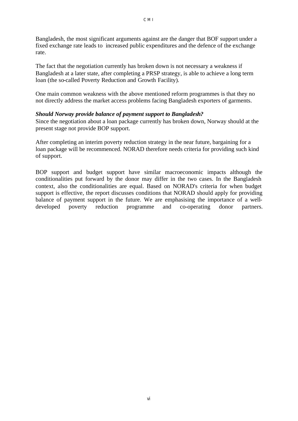Bangladesh, the most significant arguments against are the danger that BOF support under a fixed exchange rate leads to increased public expenditures and the defence of the exchange rate.

The fact that the negotiation currently has broken down is not necessary a weakness if Bangladesh at a later state, after completing a PRSP strategy, is able to achieve a long term loan (the so-called Poverty Reduction and Growth Facility).

One main common weakness with the above mentioned reform programmes is that they no not directly address the market access problems facing Bangladesh exporters of garments.

#### *Should Norway provide balance of payment support to Bangladesh?*

Since the negotiation about a loan package currently has broken down, Norway should at the present stage not provide BOP support.

After completing an interim poverty reduction strategy in the near future, bargaining for a loan package will be recommenced. NORAD therefore needs criteria for providing such kind of support.

BOP support and budget support have similar macroeconomic impacts although the conditionalities put forward by the donor may differ in the two cases. In the Bangladesh context, also the conditionalities are equal. Based on NORAD's criteria for when budget support is effective, the report discusses conditions that NORAD should apply for providing balance of payment support in the future. We are emphasising the importance of a welldeveloped poverty reduction programme and co-operating donor partners.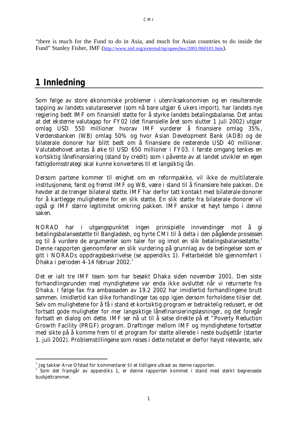"there is much for the Fund to do in Asia, and much for Asian countries to do inside the Fund" Stanley Fisher, IMF (http://www.imf.org/external/np/speeches/2001/060101.htm).

# **1 Innledning**

l

Som følge av store økonomiske problemer i utenriksøkonomien og en resulterende tapping av landets valutareserver (som nå bare utgjør 6 ukers import), har landets nye regjering bedt IMF om finansiell støtte for å styrke landets betalingsbalanse. Det antas at det eksterne valutagap for FY02 (det finansielle året som slutter 1 juli 2002) utgjør omlag USD 550 millioner hvorav IMF vurderer å finansiere omlag 35%, Verdensbanken (WB) omlag 50% og hvor Asian Development Bank (ADB) og de bilaterale donorer har blitt bedt om å finansiere de resterende USD 40 millioner. Valutabehovet antas å øke til USD 650 millioner i FY03. I første omgang tenkes en kortsiktig lånefinansiering (stand by credit) som i påvente av at landet utvikler en egen fattigdomsstrategi skal kunne konverteres til et langsiktig lån.

Dersom partene kommer til enighet om en reformpakke, vil ikke de multilaterale institusjonene, først og fremst IMF og WB, være i stand til å finansiere hele pakken. De hevder at de trenger bilateral støtte. IMF har derfor tatt kontakt med bilaterale donorer for å kartlegge mulighetene for en slik støtte. En slik støtte fra bilaterale donorer vil også gi IMF større legitimitet omkring pakken. IMF ønsker et høyt tempo i denne saken.

NORAD har i utgangspunktet ingen prinsipielle innvendinger mot å gi betalingsbalansestøtte til Bangladesh, og hyrte CMI til å delta i den pågående prosessen og til å vurdere de argumenter som taler for og imot en slik betalingsbalansestøtte.<sup>1</sup> Denne rapporten gjennomfører en slik vurdering på grunnlag av de betingelser som er gitt i NORADs oppdragsbeskrivelse (se appendiks 1). Feltarbeidet ble gjennomført i Dhaka i perioden  $4-14$  februar  $2002.<sup>2</sup>$ 

Det er ialt tre IMF team som har besøkt Dhaka siden november 2001. Den siste forhandlingsrunden med myndighetene var enda ikke avsluttet når vi returnerte fra Dhaka. I følge fax fra ambassaden av 19.2 2002 har imidlertid forhandlingene brutt sammen. Imidlertid kan slike forhandlinger tas opp igjen dersom forholdene tilsier det. Selv om mulighetene for å få i stand et kortsiktig program er betraktelig redusert, er det fortsatt gode muligheter for mer langsiktige lånefinansieringsløsninger, og det foregår fortsatt en dialog om dette. IMF ser nå ut til å satse direkte på et "Poverty Reduction Growth Facility (PRGF) program. Drøftinger mellom IMF og myndighetene fortsetter med sikte på å komme frem til et program for støtte allerede i neste budsjettår (starter 1. juli 2002). Problemstillingene som reises i dette notatet er derfor høyst relevante, selv

 $1$  Jeg takker Arve Ofstad for kommentarer til et tidligere utkast av denne rapporten.

 $2^{2}$  Som det framgår av appendiks 1, er denne rapporten kommet i stand med sterkt begrensede budsjettrammer.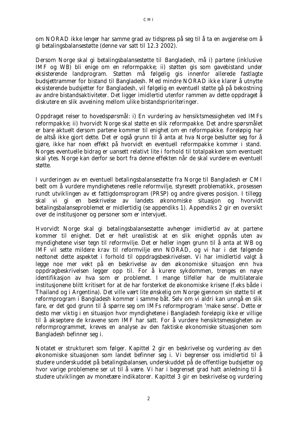om NORAD ikke lenger har samme grad av tidspress på seg til å ta en avgjørelse om å gi betalingsbalansestøtte (denne var satt til 12.3 2002).

Dersom Norge skal gi betalingsbalansestøtte til Bangladesh, må i) partene (inklusive IMF og WB) bli enige om en reformpakke; ii) støtten gis som gavebistand under eksisterende landprogram. Støtten må følgelig gis innenfor allerede fastlagte budsjettrammer for bistand til Bangladesh. Med mindre NORAD ikke klarer å utnytte eksisterende budsjetter for Bangladesh, vil følgelig en eventuell støtte gå på bekostning av andre bistandsaktiviteter. Det ligger imidlertid utenfor rammen av dette oppdraget å diskutere en slik avveining mellom ulike bistandsprioriteringer.

Oppdraget reiser to hovedspørsmål: i) En vurdering av hensiktsmessigheten ved IMFs reformpakke; ii) hvorvidt Norge skal støtte en slik reformpakke. Det andre spørsmålet er bare aktuelt dersom partene kommer til enighet om en reformpakke. Foreløpig har de altså ikke gjort dette. Det er også grunn til å anta at hva Norge beslutter seg for å gjøre, ikke har noen effekt på hvorvidt en eventuell reformpakke kommer i stand. Norges eventuelle bidrag er uansett relativt lite i forhold til totalpakken som eventuelt skal ytes. Norge kan derfor se bort fra denne effekten når de skal vurdere en eventuell støtte.

I vurderingen av en eventuell betalingsbalansestøtte fra Norge til Bangladesh er CMI bedt om å vurdere myndighetenes reelle reformvilje, styresett problematikk, prosessen rundt utviklingen av et fattigdomsprogram (PRSP) og andre giveres posisjon. I tillegg skal vi gi en beskrivelse av landets økonomiske situasjon og hvorvidt betalingsbalanseproblemet er midlertidig (se appendiks 1). Appendiks 2 gir en oversikt over de institusjoner og personer som er intervjuet.

Hvorvidt Norge skal gi betalingsbalansestøtte avhenger imidlertid av at partene kommer til enighet. Det er helt urealistisk at en slik enighet oppnås uten av myndighetene viser tegn til reformvilje. Det er heller ingen grunn til å anta at WB og IMF vil sette mildere krav til reformvilje enn NORAD, og vi har i det følgende nedtonet dette aspektet i forhold til oppdragsbeskrivelsen. Vi har imidlertid valgt å legge noe mer vekt på en beskrivelse av den økonomiske situasjon enn hva oppdragbeskrivelsen legger opp til. For å kurere sykdommen, trenges en nøye identifikasjon av hva som er problemet. I mange tilfeller har de multilaterale institusjonene blitt kritisert for at de har forsterket de økonomiske krisene (f.eks både i Thailand og i Argentina). Det ville vært lite ønskelig om Norge gjennom sin støtte til et reformprogram i Bangladesh kommer i samme båt. Selv om vi aldri kan unngå en slik fare, er det god grunn til å spørre seg om IMFs reformprogram 'make sense'. Dette er desto mer viktig i en situasjon hvor myndighetene i Bangladesh foreløpig ikke er villige til å akseptere de kravene som IMF har satt. For å vurdere hensiktsmessigheten av reformprogrammet, kreves en analyse av den faktiske økonomiske situasjonen som Bangladesh befinner seg i.

Notatet er strukturert som følger. Kapittel 2 gir en beskrivelse og vurdering av den økonomiske situasjonen som landet befinner seg i. Vi begrenser oss imidlertid til å studere underskuddet på betalingsbalansen, underskuddet på de offentlige budsjetter og hvor varige problemene ser ut til å være. Vi har i begrenset grad hatt anledning til å studere utviklingen av monetære indikatorer. Kapittel 3 gir en beskrivelse og vurdering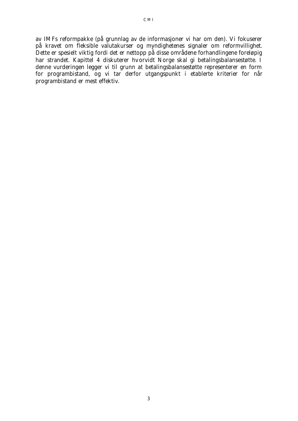av IMFs reformpakke (på grunnlag av de informasjoner vi har om den). Vi fokuserer på kravet om fleksible valutakurser og myndighetenes signaler om reformvillighet. Dette er spesielt viktig fordi det er nettopp på disse områdene forhandlingene foreløpig har strandet. Kapittel 4 diskuterer hvorvidt Norge skal gi betalingsbalansestøtte. I denne vurderingen legger vi til grunn at betalingsbalansestøtte representerer en form for programbistand, og vi tar derfor utgangspunkt i etablerte kriterier for når programbistand er mest effektiv.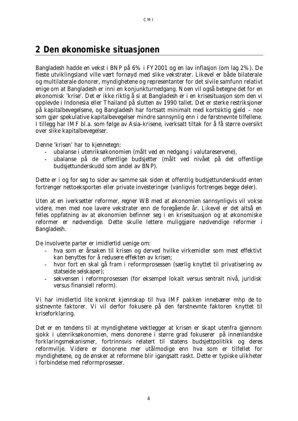# **2 Den økonomiske situasjonen**

Bangladesh hadde en vekst i BNP på 6% i FY2001 og en lav inflasjon (om lag 2%). De fleste utviklingsland ville vært fornøyd med slike vekstrater. Likevel er både bilaterale og multilaterale donorer, myndighetene og representanter for det sivile samfunn relativt enige om at Bangladesh er inni en konjunkturnedgang. Noen vil også betegne det for en økonomisk 'krise'. Det er ikke riktig å si at Bangladesh er i en krisesituasjon som den vi opplevde i Indonesia eller Thailand på slutten av 1990 tallet. Det er sterke restriksjoner på kapitalbevegelsene, og Bangladesh har fortsatt minimalt med kortsiktig gjeld – noe som gjør spekulative kapitalbevegelser mindre sannsynlig enn i de førstnevnte tilfellene. I tillegg har IMF bl.a. som følge av Asia–krisene, iverksatt tiltak for å få større oversikt over slike kapitalbevegelser.

Denne 'krisen' har to kjennetegn:

- ubalanse i utenriksøkonomien (målt ved en nedgang i valutareservene),
- ubalanse på de offentlige budsjetter (målt ved nivået på det offentlige budsjettunderskudd som andel av BNP).

Dette er i og for seg to sider av samme sak siden et offentlig budsjettunderskudd enten fortrenger nettoeksporten eller private investeringer (vanligvis fortrenges begge deler).

Uten at en iverksetter reformer, regner WB med at økonomien sannsynligvis vil vokse videre, men med noe lavere vekstrater enn de foregående år. Likevel er det altså en *felles oppfatning* av at økonomien befinner seg i en krisesituasjon og at økonomiske reformer er nødvendige. Dette skulle *lettere muliggjøre* nødvendige reformer i Bangladesh.

De involverte parter er imidlertid uenige om:

- hva som er årsaken til krisen og derved hvilke virkemidler som mest effektivt kan benyttes for å redusere effekten av krisen;
- hvor fort en skal gå fram i reformprosessen (særlig knyttet til privatisering av statseide selskaper);
- sekvensen i reformprosessen (for eksempel lokalt versus sentralt nivå, juridisk versus finansiell reform).

Vi har imidlertid lite konkret kjennskap til hva IMF pakken innebærer mhp de to sistnevnte faktorer. Vi vil derfor fokusere på den førstnevnte faktoren knyttet til kriseforklaring.

Det er en tendens til at myndighetene vektlegger at krisen er skapt utenfra gjennom sjokk i utenriksøkonomien, mens donorene i større grad fokuserer på innenlandske forklaringsmekanismer, fortrinnsvis relatert til statens budsjettpolitikk og deres reformvilje. Videre er donorene mer utålmodige enn hva som er tilfellet for myndighetene, og de ønsker at reformene blir igangsatt raskt. Dette er typiske ulikheter i forbindelse med reformprosesser.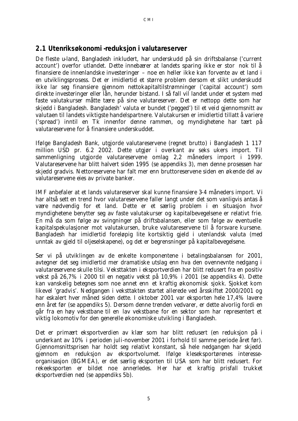### **2.1 Utenriksøkonomi -reduksjon i valutareserver**

De fleste u-land, Bangladesh inkludert, har underskudd på sin driftsbalanse ('current account') overfor utlandet. Dette innebærer at landets sparing ikke er stor nok til å finansiere de innenlandske investeringer – noe en heller ikke kan forvente av et land i en utviklingsprosess. Det er imidlertid et større problem dersom et slikt underskudd ikke lar seg finansiere gjennom nettokapitaltilstrømninger ('capital account') som direkte investeringer eller lån, herunder bistand. I så fall vil landet under et system med *faste valutakurser* måtte tære på sine valutareserver. Det er nettopp dette som har skjedd i Bangladesh. Bangladesh' valuta er bundet ('pegged') til et veid gjennomsnitt av valutaen til landets viktigste handelspartnere. Valutakursen er imidlertid tillatt å variere ('spread') inntil en Tk innenfor denne rammen, og myndighetene har tært på valutareservene for å finansiere underskuddet.

Ifølge Bangladesh Bank, utgjorde valutareservene (regnet brutto) i Bangladesh 1 117 million USD pr. 6.2 2002. Dette utgjør i overkant av seks ukers import. Til sammenligning utgjorde valutareservene omlag 2,2 måneders import i 1999. Valutareservene har blitt halvert siden 1995 (se appendiks 3), men denne prosessen har skjedd gradvis. Nettoreservene har falt mer enn bruttoreservene siden en økende del av valutareservene eies av private banker.

IMF anbefaler at et lands valutareserver skal kunne finansiere 3-4 måneders import. Vi har altså sett en *trend hvor valutareservene faller langt under det som vanligvis antas å være nødvendig for et land.* Dette er et særlig problem i en situasjon hvor myndighetene benytter seg av faste valutakurser og kapitalbevegelsene er relativt frie. En må da som følge av svingninger på driftsbalansen, eller som følge av eventuelle kapitalspekulasjoner mot valutakursen, bruke valutareservene til å forsvare kursene. Bangladesh har imidlertid foreløpig lite kortsiktig gjeld i utenlandsk valuta (med unntak av gjeld til oljeselskapene), og det er begrensninger på kapitalbevegelsene.

Ser vi på utviklingen av de enkelte komponentene i betalingsbalansen for 2001, avtegner det seg imidlertid mer dramatiske utslag enn hva den ovennevnte nedgang i valutareservene skulle tilsi. Veksttakten i eksportverdien har blitt redusert fra en positiv vekst på 26,7% i 2000 til en negativ vekst på 10,9% i 2001 (se appendiks 4). Dette kan vanskelig betegnes som noe annet enn *et kraftig økonomisk sjokk*. Sjokket kom likevel 'gradvis'. Nedgangen i veksttakten startet allerede ved årsskiftet 2000/2001 og har eskalert hver måned siden dette. I oktober 2001 var eksporten hele 17,4% lavere enn året før (se appendiks 5). Dersom denne trenden vedvarer, er dette alvorlig fordi en går fra en høy vekstbane til en *lav vekstbane* for en sektor som har representert et viktig *lokomotiv* for den generelle økonomiske utvikling i Bangladesh.

Det er primært eksportverdien av *klær* som har blitt redusert (en reduksjon på i underkant av 10% i perioden juli-november 2001 i forhold til samme periode året før). Gjennomsnittsprisen har holdt seg relativt konstant, så hele nedgangen har skjedd gjennom en reduksjon av eksportvolumet. Ifølge kleseksportørenes interesseorganisasjon (BGMEA), er det særlig eksporten til USA som har blitt redusert. For rekeeksporten er bildet noe annerledes. Her har et kraftig prisfall trukket eksportverdien ned (se appendiks 5b).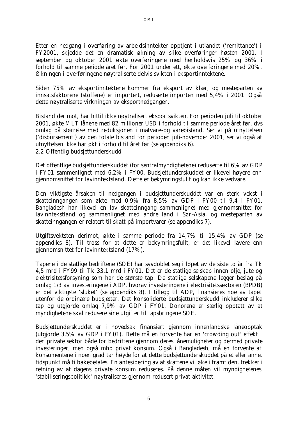Etter en nedgang i overføring av arbeidsinntekter opptjent i utlandet ('remittance') i FY2001, skjedde det en dramatisk økning av slike overføringer høsten 2001. I september og oktober 2001 økte overføringene med henholdsvis 25% og 36% i forhold til samme periode året før. For 2001 under ett, økte overføringene med 20%. Økningen i overføringene nøytraliserte delvis svikten i eksportinntektene.

Siden 75% av eksportinntektene kommer fra eksport av klær, og mesteparten av innsatsfaktorene (stoffene) er importert, reduserte importen med 5,4% i 2001. Også dette nøytraliserte virkningen av eksportnedgangen.

Bistand derimot, har hittil ikke nøytralisert eksportsvikten. For perioden juli til oktober 2001, økte MLT lånene med 82 millioner USD i forhold til samme periode året før, dvs omlag på størrelse med reduksjonen i matvare-og varebistand. Ser vi på utnyttelsen ('disbursement') av den totale bistand for perioden juli-november 2001, ser vi også at utnyttelsen ikke har økt i forhold til året før (se appendiks 6). 2.2 Offentlig budsjettunderskudd

Det offentlige budsjettunderskuddet (for sentralmyndighetene) reduserte til 6% av GDP i FY01 sammenlignet med 6,2% i FY00. Budsjettunderskuddet er likevel høyere enn gjennomsnittet for lavinntektsland. *Dette er bekymringsfullt og kan ikke vedvare.* 

Den viktigste årsaken til nedgangen i budsjettunderskuddet var en sterk vekst i skatteinngangen som økte med 0,9% fra 8,5% av GDP i FY00 til 9,4 i FY01. Bangladesh har likevel en lav skatteinngang sammenlignet med gjennomsnittet for lavinntekstland og sammenlignet med andre land i Sør-Asia, og mesteparten av skatteinngangen er relatert til skatt på importvarer (se appendiks 7).

Utgiftsvektsten derimot, økte i samme periode fra 14,7% til 15,4% av GDP (se appendiks 8). Til tross for at dette er bekymringsfullt, er det likevel lavere enn gjennomsnittet for lavinntektsland (17%).

Tapene i de statlige bedriftene (SOE) har syvdoblet seg i løpet av de siste to år fra Tk 4,5 mrd i FY99 til Tk 33,1 mrd i FY01. Det er de statlige selskap innen olje, jute og elektrisitetsforsyning som har de største tap. De statlige selskapene legger beslag på omlag 1/3 av investeringene i ADP, hvorav investeringene i elektrisitetssektoren (BPDB) er det viktigste 'sluket' (se appendiks 8). I tillegg til ADP, finansieres noe av tapet utenfor de ordinære budsjetter. Det konsoliderte budsjettunderskudd inkluderer slike tap og utgjorde omlag 7,9% av GDP i FY01. Donorene er særlig opptatt av at myndighetene skal redusere sine utgifter til tapsbringene SOE.

Budsjettunderskuddet er i hovedsak finansiert gjennom innenlandske låneopptak (utgjorde 3,5% av GDP i FY01). Dette må en forvente har en 'crowding out' effekt i den private sektor både for bedriftene gjennom deres lånemuligheter og dermed private investeringer, men også mhp privat konsum. Også i Bangladesh, må en forvente at konsumentene i noen grad tar høyde for at dette budsjettunderskuddet på et eller annet tidspunkt må tilbakebetales. En antesipering av at skattene vil øke i framtiden, trekker i retning av at dagens private konsum reduseres. På denne måten vil myndighetenes 'stabiliseringspolitikk' nøytraliseres gjennom redusert privat aktivitet.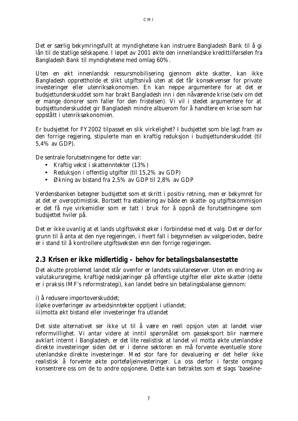Det er særlig bekymringsfullt at myndighetene kan instruere Bangladesh Bank til å gi lån til de statlige selskapene. I løpet av 2001 økte den innenlandske kredittilførselen fra Bangladesh Bank til myndighetene med omlag 60%.

*Uten en økt innenlandsk ressursmobilisering gjennom økte skatter, kan ikke Bangladesh opprettholde et slikt utgiftsnivå uten at det får konsekvenser for private investeringer eller utenriksøkonomien. En kan neppe argumentere for at det er budsjettunderskuddet som har brakt Bangladesh inn i den nåværende krise (selv om det er mange donorer som faller for den fristelsen). Vi vil i stedet argumentere for at budsjettunderskuddet gir Bangladesh mindre albuerom for å handtere en krise som har oppstått i utenriksøkonomien.* 

Er budsjettet for FY2002 tilpasset en slik virkelighet? I budsjettet som ble lagt fram av den forrige regjering, stipulerte man en kraftig reduksjon i budsjettunderskuddet (til 5,4% av GDP).

De sentrale forutsetningene for dette var:

- Kraftig vekst i skatteinntekter (13%)
- Reduksjon i offentlig utgifter (til 15,2% av GDP)
- Økning av bistand fra 2,5% av GDP til 2,8% av GDP

Verdensbanken betegner budsjettet som et skritt i positiv retning, men er bekymret for at det er overoptimistisk. Bortsett fra etablering av både en *skatte- og utgiftskommisjon*  er det få nye virkemidler som er tatt i bruk for å oppnå de forutsetningene som budsjettet hviler på.

Det er ikke uvanlig at et lands utgiftsvekst øker i forbindelse med et valg. Det er derfor grunn til å anta at den nye regjeringen, i hvert fall i begynnelsen av valgperioden, bedre er i stand til å kontrollere utgiftsveksten enn den forrige regjeringen.

#### **2.3 Krisen er ikke midlertidig – behov for betalingsbalansestøtte**

Det akutte problemet landet står ovenfor er landets valutareserver. Uten en endring av valutakursregime, kraftige nedskjæringer på offentlige utgifter eller økte skatter (dette er i praksis IMF's reformstrategi), kan landet bedre sin betalingsbalanse gjennom:

i) å redusere importoverskuddet; ii)øke overføringer av arbeidsinntekter opptjent i utlandet; iii)motta økt bistand eller investeringer fra utlandet

Det siste alternativet ser ikke ut til å være en reell opsjon uten at landet viser reformvillighet. Vi antar videre at inntil spørsmålet om gasseksport blir nærmere avklart internt i Bangladesh, er det lite realistisk at landet vil motta økte utenlandske direkte investeringer siden det er i denne sektoren en må forvente eventuelle store utenlandske direkte investeringer. Med stor fare for devaluering er det heller ikke realistisk å forvente økte porteføljeinvesteringer. La oss derfor i første omgang konsentrere oss om de to andre opsjonene. Dette kan betraktes som et slags 'baseline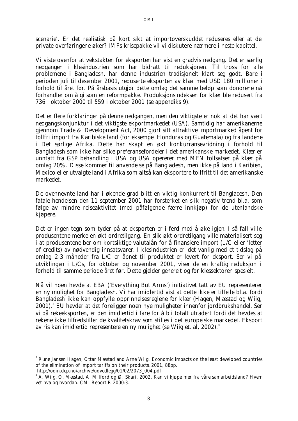scenarie'. Er det realistisk på kort sikt at importoverskuddet reduseres eller at de private overføringene øker? IMFs krisepakke vil vi diskutere nærmere i neste kapittel.

Vi viste ovenfor at vekstakten for eksporten har vist en gradvis nedgang. Det er særlig nedgangen i klesindustrien som har bidratt til reduksjonen. Til tross for alle problemene i Bangladesh, har denne industrien tradisjonelt klart seg godt. Bare i perioden juli til desember 2001, reduserte eksporten av klær med USD 180 millioner i forhold til året før. På årsbasis utgjør dette omlag det samme beløp som donorene nå forhandler om å gi som en reformpakke. Produksjonsindeksen for klær ble redusert fra 736 i oktober 2000 til 559 i oktober 2001 (se appendiks 9).

Det er flere forklaringer på denne nedgangen, men den viktigste er nok at det har vært nedgangskonjunktur i det viktigste ekportmarkedet (USA). Samtidig har amerikanerne gjennom Trade & Development Act, 2000 gjort sitt attraktive importmarked åpent for tollfri import fra Karibiske land (for eksempel Honduras og Guatemala) og fra landene i Det sørlige Afrika. Dette har skapt en økt konkurransevridning i forhold til Bangladesh som ikke har slike preferansefordeler i det amerikanske markedet. Klær er unntatt fra GSP behandling i USA og USA opererer med MFN tollsatser på klær på omlag 20%. Disse kommer til anvendelse på Bangladesh, men ikke på land i Karibien, Mexico eller utvalgte land i Afrika som altså kan eksportere tollfritt til det amerikanske markedet.

De ovennevnte land har i økende grad blitt en viktig konkurrent til Bangladesh. Den fatale hendelsen den 11 september 2001 har forsterket en slik negativ trend bl.a. som følge av mindre reiseaktivitet (med påfølgende færre innkjøp) for de utenlandske kjøpere.

Det er ingen tegn som tyder på at eksporten er i ferd med å øke igjen. I så fall ville produsentene merke en økt ordretilgang. En slik økt ordretilgang ville materialisert seg i at produsentene ber om kortsiktige valutalån for å finansiere import (L/C eller 'letter of credits) av nødvendig innsatsvarer. I klesindustrien er det vanlig med et tidslag på omlag 2-3 måneder fra L/C er åpnet til produktet er levert for eksport. Ser vi på utviklingen i L/Cs, for oktober og november 2001, viser de en kraftig reduksjon i forhold til samme periode året før. Dette gjelder generelt og for klessektoren spesielt.

Nå vil noen hevde at EBA ('Everything But Arms') initiativet tatt av EU representerer en ny mulighet for Bangladesh. Vi har imidlertid vist at dette ikke er tilfelle bl.a. fordi Bangladesh ikke kan oppfylle opprinnelsesreglene for klær (Hagen, Mæstad og Wiig, 2001).<sup>3</sup> EU hevder at det foreligger noen nye muligheter innenfor jordbrukshandel. Ser vi på rekeeksporten, er den imidlertid i fare for å bli totalt utradert fordi det hevdes at rekene ikke tilfredstiller de kvalitetskrav som stilles i det europeiske markedet. Eksport av ris kan imidlertid representere en ny mulighet (se Wiig et. al, 2002).<sup>4</sup>

l

<sup>3</sup> Rune Jansen Hagen, Ottar Mæstad and Arne Wiig. *Economic impacts on the least developed countries of the elimination of import tariffs on their products*, 2001, 88pp.

http://odin.dep.no/archive/udvedlegg/01/02/2073\_004.pdf

<sup>&</sup>lt;sup>4</sup> A. Wiig, O. Mæstad, A. Milford og Ø. Skari. 2002. Kan vi kjøpe mer fra våre samarbeidsland? Hvem vet hva og hvordan. CMI Report R 2000:3.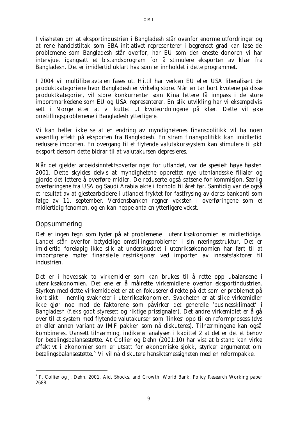I vissheten om at eksportindustrien i Bangladesh står ovenfor enorme utfordringer og at rene handelstiltak som EBA-initiativet representerer i begrenset grad kan løse de problemene som Bangladesh står overfor, har EU som den eneste donoren vi har intervjuet igangsatt et bistandsprogram for å stimulere eksporten av klær fra Bangladesh. Det er imidlertid uklart hva som er innholdet i dette programmet.

I 2004 vil multifiberavtalen fases ut. Hittil har verken EU eller USA liberalisert de produktkategoriene hvor Bangladesh er virkelig store. Når en tar bort kvotene på disse produktkategorier, vil store konkurrenter som Kina lettere få innpass i de store importmarkedene som EU og USA representerer. En slik utvikling har vi eksempelvis sett i Norge etter at vi kuttet ut kvoteordningene på klær. Dette vil øke omstillingsproblemene i Bangladesh ytterligere.

Vi kan heller ikke se at en endring av myndighetenes finanspolitikk vil ha noen vesentlig effekt på eksporten fra Bangladesh. En stram finanspolitikk kan imidlertid redusere importen. En overgang til et flytende valutakurssystem kan stimulere til økt eksport dersom dette bidrar til at valutakursen depresieres.

Når det gjelder arbeidsinntektsoverføringer for utlandet, var de spesielt høye høsten 2001. Dette skyldes delvis at myndighetene opprettet nye utenlandsske filialer og gjorde det lettere å overføre midler. De reduserte også satsene for kommisjon. Særlig overføringene fra USA og Saudi Arabia økte i forhold til året før. Samtidig var de også et resultat av at gjestearbeidere i utlandet fryktet for fastfrysing av deres bankonti som følge av 11. september. Verdensbanken regner veksten i overføringene som et midlertidig fenomen, og en kan neppe anta en ytterligere vekst.

#### *Oppsummering*

l

Det er ingen tegn som tyder på at problemene i utenriksøkonomien er midlertidige. Landet står ovenfor betydelige omstillingsproblemer i sin næringsstruktur. Det er imidlertid foreløpig ikke slik at underskuddet i utenriksøkonomien har ført til at importørene møter finansielle restriksjoner ved importen av innsatsfaktorer til industrien.

Det er i hovedsak to virkemidler som kan brukes til å rette opp ubalansene i utenriksøkonomien. Det ene er å målrette virkemidlene overfor eksportindustrien. Styrken med dette virkemiddelet er at en fokuserer direkte på det som er problemet på kort sikt – nemlig svakheter i utenriksøkonomien. Svakheten er at slike virkemidler ikke gjør noe med de faktorene som påvirker det generelle 'businessklimaet' i Bangladesh (f.eks godt styresett og riktige prissignaler). Det andre virkemidlet er å gå over til et system med flytende valutakurser som 'linkes' opp til en reformprosess (dvs en eller annen variant av IMF pakken som nå diskuteres). Tilnærmingene kan også kombineres. Uansett tilnærming, indikerer analysen i kapittel 2 at det er det et behov for betalingsbalansestøtte. At Collier og Dehn (2001:10) har vist at bistand kan virke effektivt i økonomier som er utsatt for økonomiske sjokk, styrker argumentet om betalingsbalansestøtte.<sup>5</sup> Vi vil nå diskutere hensiktsmessigheten med en reformpakke.

<sup>&</sup>lt;sup>5</sup> P. Collier og J. Dehn. 2001. Aid, Shocks, and Growth. World Bank. Policy Research Working paper 2688.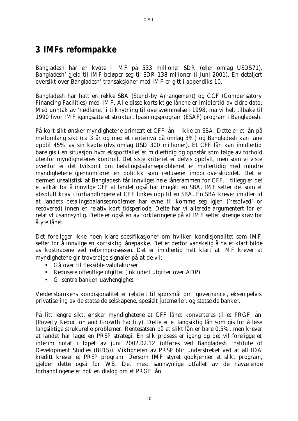# **3 IMFs reformpakke**

Bangladesh har en kvote i IMF på 533 millioner SDR (eller omlag USD571). Bangladesh' gjeld til IMF beløper seg til SDR 138 milloner (i Juni 2001). En detaljert oversikt over Bangladesh' transaksjoner med IMF er gitt i appendiks 10.

Bangladesh har hatt en rekke SBA (Stand-by Arrangement) og CCF (Compensatory Financing Facilities) med IMF. Alle disse kortsiktige lånene er imidlertid av eldre dato. Med unntak av 'nødlånet' i tilknytning til oversvømmelse i 1998, må vi helt tilbake til 1990 hvor IMF igangsatte et strukturtilpasningsprogram (ESAF) program i Bangladesh.

På kort sikt ønsker myndighetene primært et CFF lån – ikke en SBA. Dette er et lån på mellomlang sikt (ca 3 år og med et rentenivå på omlag 3%) og Bangladesh kan låne opptil 45% av sin kvote (dvs omlag USD 300 millioner). Et CFF lån kan imidlertid bare gis i en situasjon hvor eksportfallet er midlertidig og oppstår som følge av forhold utenfor myndighetenes kontroll. Det siste kriteriet er delvis oppfylt, men som vi viste ovenfor er det tvilsomt om betalingsbalanseproblemet er midlertidig med mindre myndighetene gjennomfører en politikk som reduserer importoverskuddet. Det er dermed urealistisk at Bangladesh får innvilget hele lånerammen for CFF. I tillegg er det et vilkår for å innvilge CFF at landet også har inngått en SBA. IMF setter det som et absolutt krav i forhandlingene at CFF linkes opp til en SBA. En SBA krever imidlertid at landets betalingsbalanseproblemer har evne til komme seg igjen ('resolved' or recovered) innen en relativ kort tidsperiode. Dette har vi allerede argumentert for er relativt usannsynlig. Dette er også en av forklaringene på at IMF setter strenge krav for å yte lånet.

Det foreligger ikke noen klare spesifikasjoner om hvilken kondisjonalitet som IMF setter for å innvilge en kortsiktig lånepakke. Det er derfor vanskelig å ha et klart bilde av *kostnadene ved reformprosessen*. Det er imidlertid helt klart at IMF krever at myndighetene gir troverdige signaler på at de vil:

- Gå over til fleksible valutakurser
- Redusere offentlige utgifter (inkludert utgifter over ADP)
- Gi sentralbanken uavhengighet

Verdensbankens kondisjonalitet er relatert til spørsmål om 'governance', eksempelvis privatisering av de statseide selskapene, spesielt jutemøller, og statseide banker.

På litt lengre sikt, ønsker myndighetene at CFF lånet konverteres til et PRGF lån (Poverty Reduction and Growth Facility). Dette er et langsiktig lån som gis for å løse langsiktige strukurelle problemer. Rentesatsen på et slikt lån er bare 0,5%, men krever at landet har laget en PRSP strategi. En slik prosess er igang og det vil foreligge et interim notat i løpet av juni 2002.02.12 (utføres ved Bangladesh Institute of Development Studies (BIDS)). Viktigheten av PRSP blir understreket ved at all IDA kreditt krever et PRSP program. Dersom IMF styret godkjenner et slikt program, gjelder dette også for WB. Det mest sannsynlige utfallet av de nåværende forhandlingene er nok en dialog om et PRGF lån.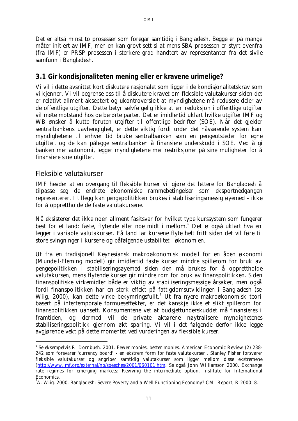CMI

Det er altså minst to prosesser som foregår samtidig i Bangladesh. Begge er på mange måter initiert av IMF, men en kan grovt sett si at mens SBA prosessen er styrt ovenfra (fra IMF) er PRSP prosessen i sterkere grad handtert av representanter fra det sivile samfunn i Bangladesh.

### **3.1 Gir kondisjonaliteten mening eller er kravene urimelige?**

Vi vil i dette avsnittet kort diskutere rasjonalet som ligger i de kondisjonalitetskrav som vi kjenner. Vi vil begrense oss til å diskutere kravet om fleksible valutakurser siden det er relativt allment akseptert og ukontroversielt at myndighetene må redusere deler av de offentlige utgifter. Dette betyr selvfølgelig ikke at en reduksjon i offentlige utgifter vil møte motstand hos de berørte parter. Det er imidlertid uklart hvilke utgifter IMF og WB ønsker å kutte foruten utgifter til offentlige bedrifter (SOE). Når det gjelder sentralbankens uavhengighet, er dette viktig fordi under det nåværende system kan myndighetene til enhver tid bruke sentralbanken som en pengeutsteder for egne utgifter, og de kan pålegge sentralbanken å finansiere underskudd i SOE. Ved å gi banken mer autonomi, legger myndighetene mer restriksjoner på sine muligheter for å finansiere sine utgifter.

#### *Fleksible valutakurser*

l

IMF hevder at en overgang til fleksible kurser vil gjøre det lettere for Bangladesh å tilpasse seg de endrete økonomiske rammebetingelser som eksportnedgangen representerer. I tillegg kan pengepolitikken brukes i stabiliseringsmessig øyemed - ikke for å opprettholde de faste valutakursene.

Nå eksisterer det ikke noen allment fasitsvar for hvilket type kurssystem som fungerer best for et land: faste, flytende eller noe midt i mellom.<sup>6</sup> Det er også uklart hva en legger i variable valutakurser. Få land lar kursene flyte helt fritt siden det vil føre til store svingninger i kursene og påfølgende ustabilitet i økonomien.

Ut fra en tradisjonell Keynesiansk makroøkonomisk modell for en åpen økonomi (Mundell-Fleming modell) gir imidlertid faste kurser mindre spillerom for bruk av pengepolitikken i stabiliseringsøyemed siden den må brukes for å opprettholde valutakursen, mens flytende kurser gir mindre rom for bruk av finanspolitikken. Siden finanspolitiske virkemidler både er viktig av stabiliseringsmessige årsaker, men også fordi finanspolitikken har en sterk effekt på fattigdomsutviklingen i Bangladesh (se Wiig, 2000), kan dette virke bekymringsfullt.<sup>7</sup> Ut fra nyere makroøkonomisk teori basert på intertemporale formueseffekter, er det kanskje ikke et slikt spillerom for finanspolitikken uansett. Konsumentene vet at budsjettunderskuddet må finansieres i framtiden, og dermed vil de private aktørene nøytralisere myndighetenes stabiliseringspolitikk gjennom økt sparing. Vi vil i det følgende derfor ikke legge avgjørende vekt på dette momentet ved vurderingen av fleksible kurser.

<sup>6</sup> Se eksempelvis R. Dornbush. 2001. Fewer monies, better monies. American Economic Review (2) 238- 242 som forsvarer 'currency board' - en ekstrem form for faste valutakurser . Stanley Fisher forsvarer fleksible valutakurser og angriper samtidig valutakurser som ligger mellom disse ekstremene (http://www.imf.org/external/np/speeches/2001/060101.htm. Se også John Williamson 2000. Exchange rate regimes for emerging markets: Reviving the intermediate option. Institute for International Economics.

 ${}^{7}$ A. Wiig. 2000. Bangladesh: Severe Poverty and a Well Functioning Economy? CMI Report, R 2000: 8.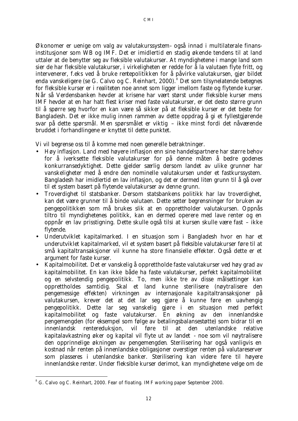Økonomer er uenige om valg av valutakurssystem- også innad i multilaterale finansinstitusjoner som WB og IMF. Det er imidlertid en stadig økende tendens til at land uttaler at de benytter seg av fleksible valutakurser. At myndighetene i mange land som sier de har fleksible valutakurser, i virkeligheten er redde for å la valutaen flyte fritt, og intervenerer, f.eks ved å bruke rentepolitikken for å påvirke valutakursen, gjør bildet enda vanskeligere (se G. Calvo og C. Reinhart, 2000).<sup>8</sup> Det som tilsynelatende betegnes for fleksible kurser er i realiteten noe annet som ligger imellom faste og flytende kurser. Når så Verdensbanken hevder at krisene har vært størst under fleksible kurser mens IMF hevder at en har hatt flest kriser med faste valutakurser, er det desto større grunn til å spørre seg hvorfor en kan være så sikker på at fleksible kurser er det beste for Bangladesh. Det er ikke mulig innen rammen av dette oppdrag å gi et fyllestgjørende svar på dette spørsmål. Men spørsmålet er viktig – ikke minst fordi det nåværende bruddet i forhandlingene er knyttet til dette punktet.

Vi vil begrense oss til å komme med noen generelle betraktninger.

- *Høy inflasjon.* Land med høyere inflasjon enn sine handelspartnere har større behov for å iverksette fleksible valutakurser for på denne måten å bedre godenes konkurransedyktighet. Dette gjelder særlig dersom landet av ulike grunner har vanskeligheter med å endre den nominelle valutakursen under et fastkurssystem. Bangladesh har imidlertid en lav inflasjon, og det er dermed liten grunn til å gå over til et system basert på flytende valutakurser av denne grunn.
- *Troverdighet til statsbanker*. Dersom statsbankens politikk har lav troverdighet, kan det være grunner til *å binde* valutaen. Dette setter begrensninger for bruken av pengepolitikken som må brukes slik at en opprettholder valutakursen. Oppnås tiltro til myndighetenes politikk, kan en dermed operere med lave renter og en oppnår en lav prisstigning. Dette skulle også tilsi at kursen skulle være fast – ikke flytende.
- *Underutviklet kapitalmarked.* I en situasjon som i Bangladesh hvor en har et underutviklet kapitalmarked, vil et system basert på fleksible valutakurser føre til at små kapitaltransaksjoner vil kunne ha store finansielle effekter. Også dette er et argument for faste kurser.
- *Kapitalmobilitet.* Det er vanskelig å opprettholde faste valutakurser ved høy grad av kapitalmobilitet. En kan ikke både ha faste valutakurser, perfekt kapitalmobilitet og en selvstendig pengepolitikk. To, men ikke tre av disse målsettinger kan opprettholdes samtidig. Skal et land kunne sterilisere (nøytralisere den pengemessige effekten) virkningen av internasjonale kapitaltransaksjoner på valutakursen, krever det at det lar seg gjøre å kunne føre en uavhengig pengepolitikk. Dette lar seg vanskelig gjøre i en situasjon med perfekt kapitalmobilitet og faste valutakurser. En økning av den innenlandske pengemengden (for eksempel som følge av betalingsbalansestøtte) som bidrar til en innenlandsk rentereduksjon, vil føre til at den utenlandske relative kapitalavkastning øker og kapital vil flyte ut av landet - noe som vil nøytralisere den opprinnelige økningen av pengemengden. Sterilisering har også vanligvis en kostnad når renten på innenlandske obligasjoner overstiger renten på valutareserver som plasseres i utenlandske banker. Sterilisering kan videre føre til høyere innenlandske renter. Under fleksible kurser derimot, kan myndighetene velge om de

l

<sup>&</sup>lt;sup>8</sup> G. Calvo og C. Reinhart, 2000. Fear of floating. IMF working paper September 2000.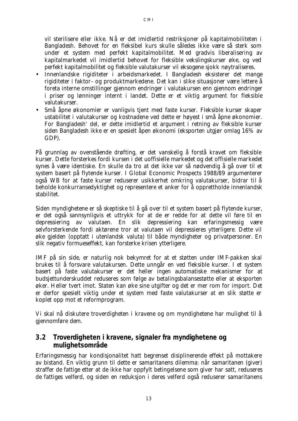vil sterilisere eller ikke. Nå er det imidlertid restriksjoner på kapitalmobiliteten i

Bangladesh. Behovet for en fleksibel kurs skulle således ikke være så sterk som under et system med perfekt kapitalmobilitet. Med gradvis liberalisering av kapitalmarkedet vil imidlertid behovet for fleksible vekslingskurser øke, og ved perfekt kapitalmobilitet og fleksible valutakurser vil eksogene sjokk nøytraliseres.

- Innenlandske rigiditeter i arbeidsmarkedet. I Bangladesh eksisterer det mange rigiditeter i faktor- og produktmarkedene. Det kan i slike situasjoner være lettere å foreta interne omstillinger gjennom endringer i valutakursen enn gjennom endringer i priser og lønninger internt i landet. Dette er et viktig argument for fleksible valutakurser.
- Små åpne økonomier er vanligvis tjent med faste kurser. Fleksible kurser skaper ustabilitet i valutakurser og kostnadene ved dette er høyest i små åpne økonomier. For Bangladesh' del, er dette imidlertid et argument i retning av fleksible kurser siden Bangladesh ikke er en spesielt åpen økonomi (eksporten utgjør omlag 16% av GDP).

På grunnlag av ovenstående drøfting, er det vanskelig å forstå kravet om fleksible kurser. Dette forsterkes fordi kursen i det uoffisielle markedet og det offisielle markedet synes å være identiske. En skulle da tro at det ikke var så nødvendig å gå over til et system basert på flytende kurser. I Global Economic Prospects 1988/89 argumenterer også WB for at faste kurser reduserer usikkerhet omkring valutakurser, bidrar til å beholde konkurransedyktighet og representere et anker for å opprettholde innenlandsk stabilitet.

Siden myndighetene er så skeptiske til å gå over til et system basert på flytende kurser, er det også sannsynligvis et uttrykk for at de er redde for at dette vil føre til en depressiering av valutaen. En slik depressiering kan erfaringsmessig være selvforsterkende fordi aktørene tror at valutaen vil depressieres ytterligere. Dette vil øke gjelden (opptatt i utenlandsk valuta) til både myndigheter og privatpersoner. En slik negativ formueseffekt, kan forsterke krisen ytterligere.

IMF på sin side, er naturlig nok bekymret for at et støtten under IMF-pakken skal brukes til å forsvare valutakursen. Dette unngår en ved fleksible kurser. I et system basert på faste valutakurser er det heller ingen automatiske mekanismer for at budsjettunderskuddet reduseres som følge av betalingsbalansestøtte eller at eksporten øker. Heller tvert imot. Staten kan øke sine utgifter og det er mer rom for import. Det er derfor spesielt viktig under et system med faste valutakurser at en slik støtte er koplet opp mot et reformprogram.

Vi skal nå diskutere troverdigheten i kravene og om myndighetene har mulighet til å gjennomføre dem.

### **3.2 Troverdigheten i kravene, signaler fra myndighetene og mulighetsområde**

Erfaringsmessig har kondisjonalitet hatt begrenset disiplinerende effekt på mottakere av bistand. En viktig grunn til dette er samaritanens dilemma: når samaritanen (giver) straffer de fattige etter at de ikke har oppfylt betingelsene som giver har satt, reduseres de fattiges velferd, og siden en reduksjon i deres velferd også reduserer samaritanens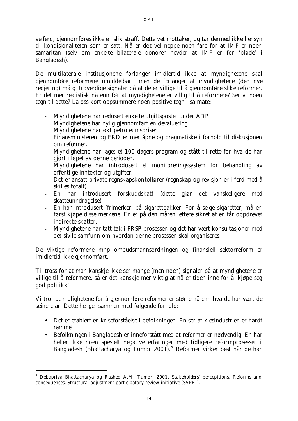velferd, gjennomføres ikke en slik straff. Dette vet mottaker, og tar dermed ikke hensyn til kondisjonaliteten som er satt. Nå er det vel neppe noen fare for at IMF er noen samaritan (selv om enkelte bilaterale donorer hevder at IMF er for 'bløde' i Bangladesh).

De multilaterale institusjonene forlanger imidlertid ikke at myndighetene skal gjennomføre reformene umiddelbart, men de forlanger at myndighetene (den nye regjering) må gi troverdige signaler på at de er villige til å gjennomføre slike reformer. Er det mer realistisk nå enn før at myndighetene er villig til å reformere? Ser vi noen tegn til dette? La oss kort oppsummere noen positive tegn i så måte:

- Myndighetene har redusert enkelte utgiftsposter under ADP
- Myndighetene har nylig gjennomført en devaluering
- Myndighetene har økt petroleumsprisen

l

- Finansministeren og ERD er mer åpne og pragmatiske i forhold til diskusjonen om reformer.
- Myndighetene har laget et 100 dagers program og stått til rette for hva de har gjort i løpet av denne perioden.
- Myndighetene har introdusert et monitoreringssystem for behandling av offentlige inntekter og utgifter.
- Det er ansatt private regnskapskontollører (regnskap og revisjon er i ferd med å skilles totalt)
- En har introdusert forskuddskatt (dette gjør det vanskeligere med skatteunndragelse)
- En har introdusert 'frimerker' på sigarettpakker. For å selge sigaretter, må en først kjøpe disse merkene. En er på den måten lettere sikret at en får oppdrevet indirekte skatter.
- Myndighetene har tatt tak i PRSP prosessen og det har vært konsultasjoner med det sivile samfunn om hvordan denne prosessen skal organiseres.

De viktige reformene mhp ombudsmannsordningen og finansiell sektorreform er imidlertid ikke gjennomført.

Til tross for at man kanskje ikke ser mange (men noen) signaler på at myndighetene er villige til å reformere, så er det kanskje mer viktig at nå er tiden inne for å 'kjøpe seg god politikk'.

Vi tror at mulighetene for å gjennomføre reformer er større nå enn hva de har vært de seinere år. Dette henger sammen med følgende forhold:

- Det er etablert en kriseforståelse i befolkningen. En ser at klesindustrien er hardt rammet.
- Befolkningen i Bangladesh er inneforstått med at reformer er nødvendig. En har heller ikke noen spesielt negative erfaringer med tidligere reformprosesser i Bangladesh (Bhattacharya og Tumor 2001).<sup>9</sup> Reformer virker best når de har

<sup>9</sup> Debapriya Bhattacharya og Rashed A.M. Tumor. 2001. Stakeholders' percepitions. Reforms and concequences. Structural adjustment participatory review initiative (SAPRI).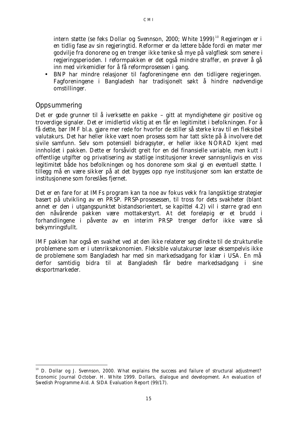intern støtte (se feks Dollar og Svennson, 2000; White 1999)<sup>10</sup> Regjeringen er i en tidlig fase av sin regjeringtid. Reformer er da lettere både fordi en møter mer godvilje fra donorene og en trenger ikke tenke så mye på valgflesk som senere i regjeringsperioden. I reformpakken er det også mindre straffer, en prøver å gå inn med virkemidler for å få reformprosessen i gang.

• BNP har mindre relasjoner til fagforeningene enn den tidligere regjeringen. Fagforeningene i Bangladesh har tradisjonelt søkt å hindre nødvendige omstillinger.

#### *Oppsummering*

l

Det er gode grunner til å iverksette en pakke – gitt at myndighetene gir positive og troverdige signaler. Det er imidlertid viktig at en får en legitimitet i befolkningen. For å få dette, bør IMF bl.a. gjøre mer rede for hvorfor de stiller så sterke krav til en fleksibel valutakurs. Det har heller ikke vært noen prosess som har tatt sikte på å involvere det sivile samfunn. Selv som potensiell bidragsyter, er heller ikke NORAD kjent med innholdet i pakken. Dette er forsåvidt greit for en del finansielle variable, men kutt i offentlige utgifter og privatisering av statlige institusjoner krever sannsynligvis en viss legitimitet både hos befolkningen og hos donorene som skal gi en eventuell støtte. I tillegg må en være sikker på at det bygges opp nye institusjoner som kan erstatte de institusjonene som foreslåes fjernet.

Det er en fare for at IMFs program kan ta noe av fokus vekk fra langsiktige strategier basert på utvikling av en PRSP. PRSP-prosesessen, til tross for dets svakheter (blant annet er den i utgangspunktet bistandsorientert, se kapittel 4.2) vil i større grad enn den nåvårende pakken være mottakerstyrt. *At det foreløpig er et brudd i forhandlingene i påvente av en interim PRSP trenger derfor ikke være så bekymringsfullt.*

IMF pakken har også en svakhet ved at den ikke relaterer seg direkte til de strukturelle problemene som er i utenriksøkonomien. Fleksible valutakurser løser eksempelvis ikke de problemene som Bangladesh har med sin markedsadgang for klær i USA. En må derfor samtidig bidra til at Bangladesh får bedre markedsadgang i sine eksportmarkeder.

<sup>&</sup>lt;sup>10</sup> D. Dollar og J. Svennson, 2000. What explains the success and failure of structural adjustment? Economic Journal October. H. White 1999. Dollars, dialogue and development. An evaluation of Swedish Programme Aid. A SIDA Evaluation Report (99/17).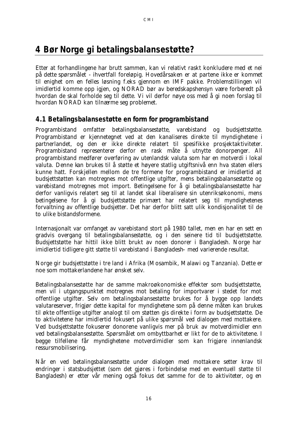# **4 Bør Norge gi betalingsbalansestøtte?**

Etter at forhandlingene har brutt sammen, kan vi relativt raskt konkludere med et nei på dette spørsmålet - ihvertfall foreløpig. Hovedårsaken er at partene ikke er kommet til enighet om en felles løsning f.eks gjennom en IMF pakke. Problemstillingen vil imidlertid komme opp igjen, og NORAD bør av beredskapshensyn være forberedt på hvordan de skal forholde seg til dette. Vi vil derfor nøye oss med å gi noen forslag til hvordan NORAD kan *tilnærme* seg problemet.

### **4.1 Betalingsbalansestøtte en form for programbistand**

Programbistand omfatter betalingsbalansestøtte, varebistand og budsjettstøtte. Programbistand er kjennetegnet ved at den kanaliseres direkte til myndighetene i partnerlandet, og den er ikke direkte relatert til spesifikke prosjektaktiviteter. Programbistand representerer derfor en rask måte å utnytte donorpenger. All programbistand medfører overføring av utenlandsk valuta som har en motverdi i lokal valuta. Denne kan brukes til å støtte et høyere statlig utgiftsnivå enn hva staten ellers kunne hatt. Forskjellen mellom de tre formene for programbistand er imidlertid at budsjettstøtten kan motregnes mot offentlige utgifter, mens betalingsbalansestøtte og varebistand motregnes mot import. Betingelsene for å gi betalingsbalansestøtte har derfor vanligvis relatert seg til at landet skal liberalisere sin utenriksøkonomi, mens betingelsene for å gi budsjettstøtte primært har relatert seg til myndighetenes forvaltning av offentlige budsjetter. Det har derfor blitt satt ulik kondisjonalitet til de to ulike bistandsformene.

Internasjonalt var omfanget av varebistand stort på 1980 tallet, men en har en sett en gradvis overgang til betalingsbalansestøtte, og i den seinere tid til budsjettstøtte. Budsjettstøtte har hittil ikke blitt brukt av noen donorer i Bangladesh. Norge har imidlertid tidligere gitt støtte til varebistand i Bangladesh– med varierende resultat.

Norge gir budsjettstøtte i tre land i Afrika (Mosambik, Malawi og Tanzania). Dette er noe som mottakerlandene har ønsket selv.

Betalingsbalansestøtte har de samme makroøkonomiske effekter som budsjettstøtte, men vil i utgangspunktet motregnes mot betaling for importvarer i stedet for mot offentlige utgifter. Selv om betalingsbalansestøtte brukes for å bygge opp landets valutareserver, frigjør dette kapital for myndighetene som på denne måten kan brukes til økte offentlige utgifter analogt til om støtten gis direkte i form av budsjettstøtte. De to aktivitetene har imidlertid fokusert på ulike spørsmål ved dialogen med mottakere. Ved budsjettstøtte fokuserer donorene vanligvis mer på bruk av motverdimidler enn ved betalingsbalansestøtte. Spørsmålet om ombyttbarhet er likt for de to aktivitetene. I begge tilfellene får myndighetene motverdimidler som kan frigjøre innenlandsk ressursmobilisering.

Når en ved betalingsbalansestøtte under dialogen med mottakere setter krav til endringer i statsbudsjettet (som det gjøres i forbindelse med en eventuell støtte til Bangladesh) er etter vår mening også fokus det samme for de to aktiviteter, og en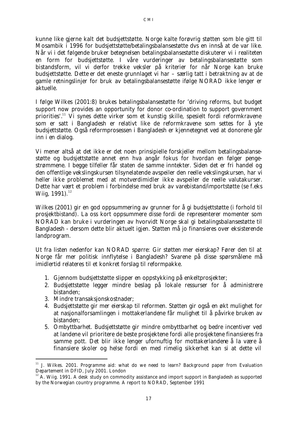kunne like gjerne kalt det budsjettstøtte. Norge kalte forøvrig støtten som ble gitt til Mosambik i 1996 for budsjettstøtte/betalingsbalansestøtte dvs en innså at de var like. Når vi i det følgende bruker betegnelsen betalingsbalansestøtte diskuterer vi i realiteten en form for budsjettstøtte. I våre vurderinger av betalingsbalansestøtte som bistandsform, vil vi derfor trekke veksler på kriterier for når Norge kan bruke budsjettstøtte. Dette er det eneste grunnlaget vi har – særlig tatt i betraktning av at de gamle retningslinjer for bruk av betalingsbalansestøtte ifølge NORAD ikke lenger er aktuelle.

I følge Wilkes (2001:8) brukes betalingsbalansestøtte for 'driving reforms, but budget support now provides an opportunity for donor co-ordination to support government priorities'.<sup>11</sup> Vi synes dette virker som et kunstig skille, spesielt fordi reformkravene som er satt i Bangladesh er relativt like de reformkravene som settes for å yte budsjettstøtte. Også reformprosessen i Bangladesh er kjennetegnet ved at donorene går inn i en dialog.

Vi mener altså at det ikke er det noen prinsipielle forskjeller mellom betalingsbalansestøtte og budsjettstøtte annet enn hva angår fokus for hvordan en følger pengestrømmene. I begge tilfeller får staten de samme inntekter. Siden det er fri handel og den offentlige vekslingskursen tilsynelatende avspeiler den reelle vekslingskursen, har vi heller ikke problemet med at motverdimidler ikke avspeiler de reelle valutakurser. Dette har vært et problem i forbindelse med bruk av varebistand/importstøtte (se f.eks Wiig,  $1991$ .<sup>12</sup>

Wilkes (2001) gir en god oppsummering av *grunner for å gi budsjettstøtte (i forhold til prosjektbistand)*. La oss kort oppsummere disse fordi de representerer momenter som NORAD kan bruke i vurderingen av hvorvidt Norge skal gi betalingsbalansestøtte til Bangladesh - dersom dette blir aktuelt igjen. Støtten må jo finansieres over eksisterende landprogram.

Ut fra listen nedenfor kan NORAD spørre: Gir støtten mer eierskap? Fører den til at Norge får mer politisk innflytelse i Bangladesh? Svarene på disse spørsmålene må imidlertid relateres til et konkret forslag til reformpakke.

- 1. Gjennom budsjettstøtte slipper en oppstykking på enkeltprosjekter;
- 2. Budsjettstøtte legger mindre beslag på lokale ressurser for å administrere bistanden;
- 3. Mindre transaksjonskostnader;

l

- 4. Budsjettstøtte gir mer eierskap til reformen. Støtten gir også en økt mulighet for at nasjonalforsamlingen i mottakerlandene får mulighet til å påvirke bruken av bistanden;
- 5. Ombyttbarhet. Budsjettstøtte gir mindre ombyttbarhet og bedre incentiver ved at landene vil prioritere de beste prosjektene fordi alle prosjektene finansieres fra samme pott. Det blir ikke lenger ufornuftig for mottakerlandene å la være å finansiere skoler og helse fordi en med rimelig sikkerhet kan si at dette vil

<sup>&</sup>lt;sup>11</sup> J. Wilkes. 2001. Programme aid: what do we need to learn? Background paper from Evaluation Departement in DFID, July 2001. London

 $12$  A. Wiig. 1991. A desk study on commodity assistance and import support in Bangladesh as supported by the Norwegian country programme. A report to NORAD, September 1991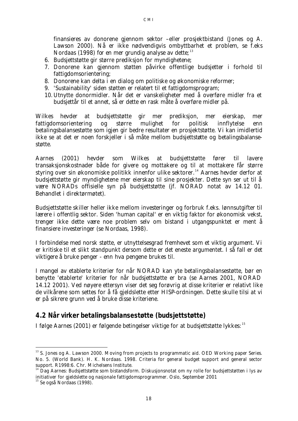finansieres av donorene gjennom sektor –eller prosjektbistand (Jones og A. Lawson 2000). Nå er ikke nødvendigvis ombyttbarhet et problem, se f.eks Nordaas (1998) for en mer grundig analyse av dette;  $13$ 

- 6. Budsjettstøtte gir større prediksjon for myndighetene;
- 7. Donorene kan gjennom støtten påvirke offentlige budsjetter i forhold til fattigdomsorientering;
- 8. Donorene kan delta i en dialog om politiske og økonomiske reformer;
- 9. 'Sustainability' siden støtten er relatert til et fattigdomsprogram;
- 10. Utnytte donormidler. Når det er vanskeligheter med å overføre midler fra et budsjettår til et annet, så er dette en rask måte å overføre midler på.

Wilkes hevder at budsjettstøtte gir mer prediksjon, mer eierskap, mer fattigdomsorientering og større mulighet for politisk innflytelse enn betalingsbalansestøtte som igjen gir bedre resultater en prosjektstøtte. Vi kan imidlertid ikke se at det er noen forskjeller i så måte mellom budsjettstøtte og betalingsbalansestøtte.

Aarnes (2001) hevder som Wilkes at budsjettstøtte fører til lavere transaksjonskostnader både for givere og mottakere og til at mottakere får større styring over sin økonomiske politikk innenfor ulike sektorer.<sup>14</sup> Aarnes hevder derfor at budsjettstøtte gir myndighetene mer eierskap til sine prosjekter. Dette syn ser ut til å være NORADs offisielle syn på budsjettstøtte (jf. NORAD notat av 14.12 01. Behandlet i direktørmøtet).

Budsjettstøtte skiller heller ikke mellom investeringer og forbruk f.eks. lønnsutgifter til lærere i offentlig sektor. Siden 'human capital' er en viktig faktor for økonomisk vekst, trenger ikke dette være noe problem selv om bistand i utgangspunktet er ment å finansiere investeringer (se Nordaas, 1998).

I forbindelse med norsk støtte, er utnyttelsesgrad fremhevet som et viktig argument. Vi er kritiske til et slikt standpunkt dersom dette er det eneste argumentet. I så fall er det viktigere å bruke penger - enn hva pengene brukes til.

I mangel av etablerte kriterier for når NORAD kan yte betalingsbalansestøtte, bør en benytte 'etablerte' kriterier for når budsjettstøtte er bra (se Aarnes 2001, NORAD 14.12 2001). Ved nøyere ettersyn viser det seg forøvrig at disse kriterier er relativt like de vilkårene som settes for å få gjeldslette etter HISP-ordningen. Dette skulle tilsi at vi er på sikrere grunn ved å bruke disse kriteriene.

#### **4.2 Når virker betalingsbalansestøtte (budsjettstøtte)**

I følge Aarnes (2001) er følgende betingelser viktige for at budsjettstøtte lykkes:<sup>15</sup>

l

<sup>&</sup>lt;sup>13</sup> S. Jones og A. Lawson 2000. Moving from projects to programmatic aid. OED Working paper Series. No. 5. (World Bank). H. K. Nordaas. 1998. Criteria for general budget support and general sector support. R1998:6. Chr. Michelsens Institute.

<sup>&</sup>lt;sup>14</sup> Dag Aarnes: Budsjettstøtte som bistandsform. Diskusjonsnotat om ny rolle for budsjettstøtten i lys av initiativer for gjeldslette og nasjonale fattigdomsprogrammer. Oslo, September 2001

 $15$  Se også Nordaas (1998).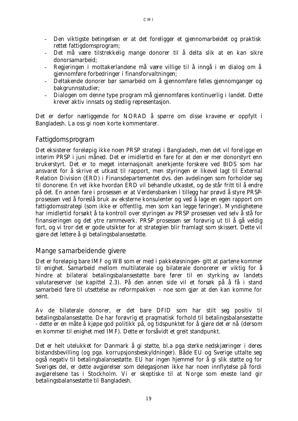- Den viktigste betingelsen er at det foreligger et gjennomarbeidet og praktisk rettet fattigdomsprogram;
- Det må være tilstrekkelig mange donorer til å delta slik at en kan sikre donorsamarbeid;
- Regjeringen i mottakerlandene må være villige til å inngå i en dialog om å gjennomføre forbedringer i finansforvaltningen;
- Deltakende donorer bør samarbeid om å gjennomføre felles gjennomganger og bakgrunnsstudier;
- Dialogen om denne type program må gjennomføres kontinuerlig i landet. Dette krever aktiv innsats og stedlig representasjon.

Det er derfor nærliggende for NORAD å spørre om disse kravene er oppfylt i Bangladesh. La oss gi noen korte kommentarer.

#### *Fattigdomsprogram*

Det eksisterer foreløpig ikke noen PRSP strategi i Bangladesh, men det vil foreligge en interim PRSP i juni måned. Det er imidlertid en fare for at den er mer donorstyrt enn brukerstyrt. Det er to meget internasjonalt anerkjente forskere ved BIDS som har ansvaret for å skrive et utkast til rapport, men styringen er likevel lagt til External Relation Division (ERD) i Finansdepartementet dvs. den avdelingen som forholder seg til donorene. En vet ikke hvordan ERD vil behandle utkastet, og de står fritt til å endre på det. En annen fare i prosessen er at Verdensbanken i tillegg har prøvd å styre PRSPprosessen ved å foreslå bruk av eksterne konsulenter og ved å lage en egen rapport om fattigdomsstrategi (som ikke er offentlig, men som kan legge føringer). Myndighetene har imidlertid forsøkt å ta kontroll over styringen av PRSP prosessen ved selv å stå for finansieringen og det ytre rammeverk. PRSP prosessen ser forøvrig ut til å gå veldig fort, og vi tror det er gode utsikter for at strategien blir framlagt som skissert. Dette vil gjøre det lettere å gi betalingsbalansestøtte.

#### *Mange samarbeidende givere*

Det er foreløpig bare IMF og WB som er med i pakkeløsningen- gitt at partene kommer til enighet. Samarbeid mellom multilaterale og bilaterale donorerer er viktig for å hindre at bilateral betalingsbalansestøtte bare fører til en styrking av landets valutareserver (se kapittel 2.3). På den annen side vil et forsøk på å få i stand samarbeid føre til utsettelse av reformpakken - noe som gjør at den kan komme for seint.

Av de bilaterale donorer, er det bare DFID som har stilt seg positiv til betalingsbalansestøtte. De har forøvrig et pragmatisk forhold til betalingsbalansestøtte - *dette er en måte å kjøpe god politikk på, og tidspunktet for å gjøre det er nå* (dersom en kommer til enighet med IMF). Dette er forsåvidt et greit standpunkt.

Det er helt utelukket for Danmark å gi støtte, bl.a pga sterke nedskjæringer i deres bistandsbevilling (og pga. korrupsjonsbeskyldninger). Både EU og Sverige uttalte seg også negativ til betalingbalansestøtte. EU har ingen hjemmel for å gi slik støtte og for Sveriges del, er dette avgjørelser som delegasjonen ikke har noen innflytelse på fordi avgjørelsene tas i Stockholm. Vi er skeptiske til at Norge som eneste land gir betalingsbalansestøtte til Bangladesh.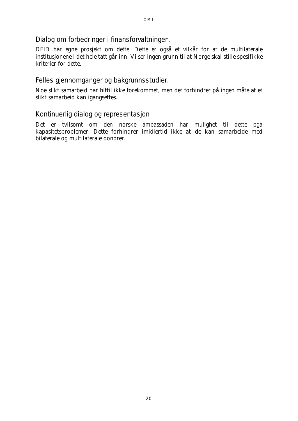#### *Dialog om forbedringer i finansforvaltningen.*

DFID har egne prosjekt om dette. Dette er også et vilkår for at de multilaterale institusjonene i det hele tatt går inn. Vi ser ingen grunn til at Norge skal stille spesifikke kriterier for dette.

#### *Felles gjennomganger og bakgrunnsstudier.*

Noe slikt samarbeid har hittil ikke forekommet, men det forhindrer på ingen måte at et slikt samarbeid kan igangsettes.

#### *Kontinuerlig dialog og representasjon*

Det er tvilsomt om den norske ambassaden har mulighet til dette pga kapasitetsproblemer. Dette forhindrer imidlertid ikke at de kan samarbeide med bilaterale og multilaterale donorer.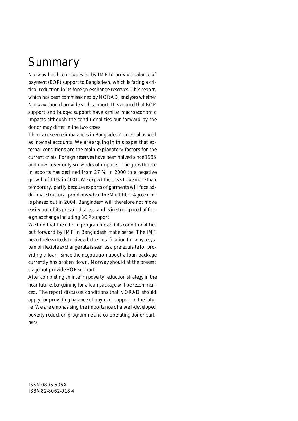# **Summary**

Norway has been requested by IMF to provide balance of payment (BOP) support to Bangladesh, which is facing a critical reduction in its foreign exchange reserves. This report, which has been commissioned by NORAD, analyses whether Norway should provide such support. It is argued that BOP support and budget support have similar macroeconomic impacts although the conditionalities put forward by the donor may differ in the two cases.

There are severe imbalances in Bangladesh' external as well as internal accounts. We are arguing in this paper that external conditions are the main explanatory factors for the current crisis. Foreign reserves have been halved since 1995 and now cover only six weeks of imports. The growth rate in exports has declined from 27 % in 2000 to a negative growth of 11% in 2001. We expect the crisis to be more than temporary, partly because exports of garments will face additional structural problems when the Multifibre Agreement is phased out in 2004. Bangladesh will therefore not move easily out of its present distress, and is in strong need of foreign exchange including BOP support.

We find that the reform programme and its conditionalities put forward by IMF in Bangladesh make sense. The IMF nevertheless needs to give a better justification for why a system of flexible exchange rate is seen as a prerequisite for providing a loan. Since the negotiation about a loan package currently has broken down, Norway should at the present stage not provide BOP support.

After completing an interim poverty reduction strategy in the near future, bargaining for a loan package will be recommenced. The report discusses conditions that NORAD should apply for providing balance of payment support in the future. We are emphasising the importance of a well-developed poverty reduction programme and co-operating donor partners.